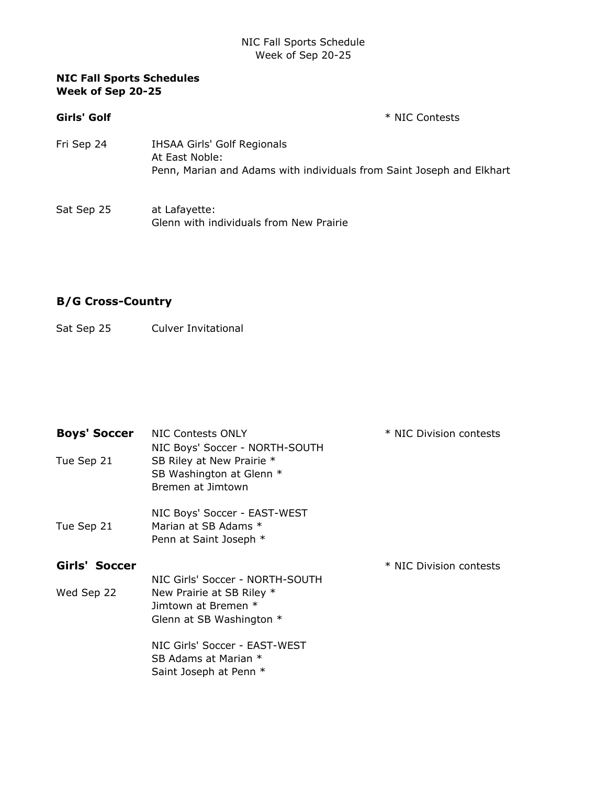### NIC Fall Sports Schedule Week of Sep 20-25

### **NIC Fall Sports Schedules Week of Sep 20-25**

**Girls' Golf**  $*$  NIC Contests

- Fri Sep 24 IHSAA Girls' Golf Regionals At East Noble: Penn, Marian and Adams with individuals from Saint Joseph and Elkhart
- Sat Sep 25 at Lafayette: Glenn with individuals from New Prairie

# **B/G Cross-Country**

### Sat Sep 25 Culver Invitational

| <b>Boys' Soccer</b><br>Tue Sep 21 | NIC Contests ONLY<br>NIC Boys' Soccer - NORTH-SOUTH<br>SB Riley at New Prairie *<br>SB Washington at Glenn *<br>Bremen at Jimtown | * NIC Division contests |
|-----------------------------------|-----------------------------------------------------------------------------------------------------------------------------------|-------------------------|
| Tue Sep 21                        | NIC Boys' Soccer - EAST-WEST<br>Marian at SB Adams *<br>Penn at Saint Joseph *                                                    |                         |
| Girls' Soccer                     |                                                                                                                                   | * NIC Division contests |
|                                   |                                                                                                                                   |                         |
| Wed Sep 22                        | NIC Girls' Soccer - NORTH-SOUTH<br>New Prairie at SB Riley *<br>Jimtown at Bremen *<br>Glenn at SB Washington $*$                 |                         |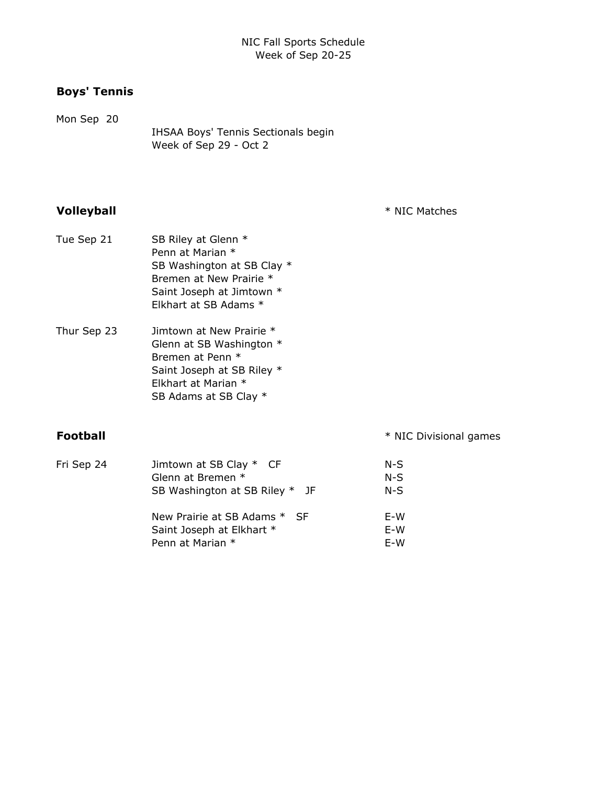## **Boys' Tennis**

Mon Sep 20 IHSAA Boys' Tennis Sectionals begin Week of Sep 29 - Oct 2

**Volleyball**  $*$  NIC Matches

- Tue Sep 21 SB Riley at Glenn \* Penn at Marian \* SB Washington at SB Clay  $*$ Bremen at New Prairie \* Saint Joseph at Jimtown \* Elkhart at SB Adams \*
- Thur Sep 23 Jimtown at New Prairie \* Glenn at SB Washington \* Bremen at Penn \* Saint Joseph at SB Riley \* Elkhart at Marian \* SB Adams at SB Clay \*

**Football** \* NIC Divisional games

| Fri Sep 24 | Jimtown at SB Clay * CF        | $N-S$ |
|------------|--------------------------------|-------|
|            | Glenn at Bremen *              | $N-S$ |
|            | SB Washington at SB Riley * JF | $N-S$ |
|            | New Prairie at SB Adams * SF   | E-W   |
|            | Saint Joseph at Elkhart *      | E-W   |
|            | Penn at Marian *               | E-W   |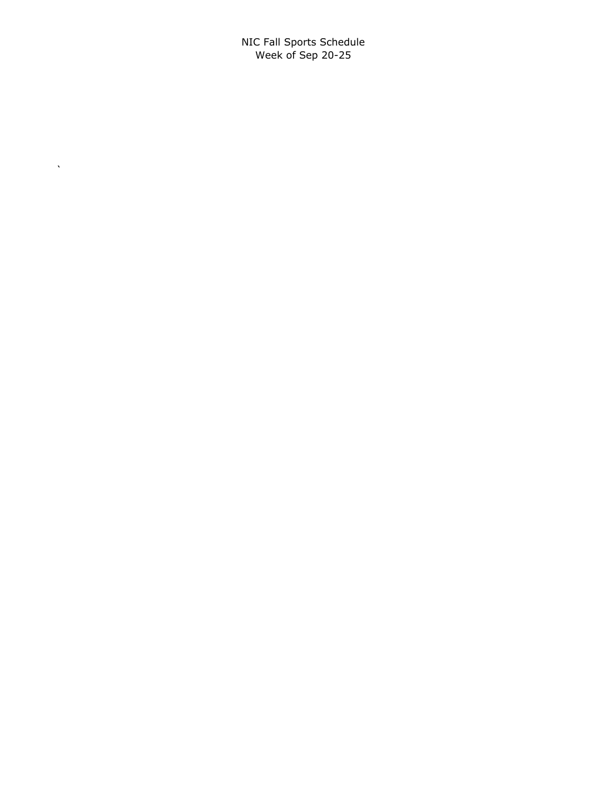NIC Fall Sports Schedule Week of Sep 20-25

 $\Delta \sim 10$